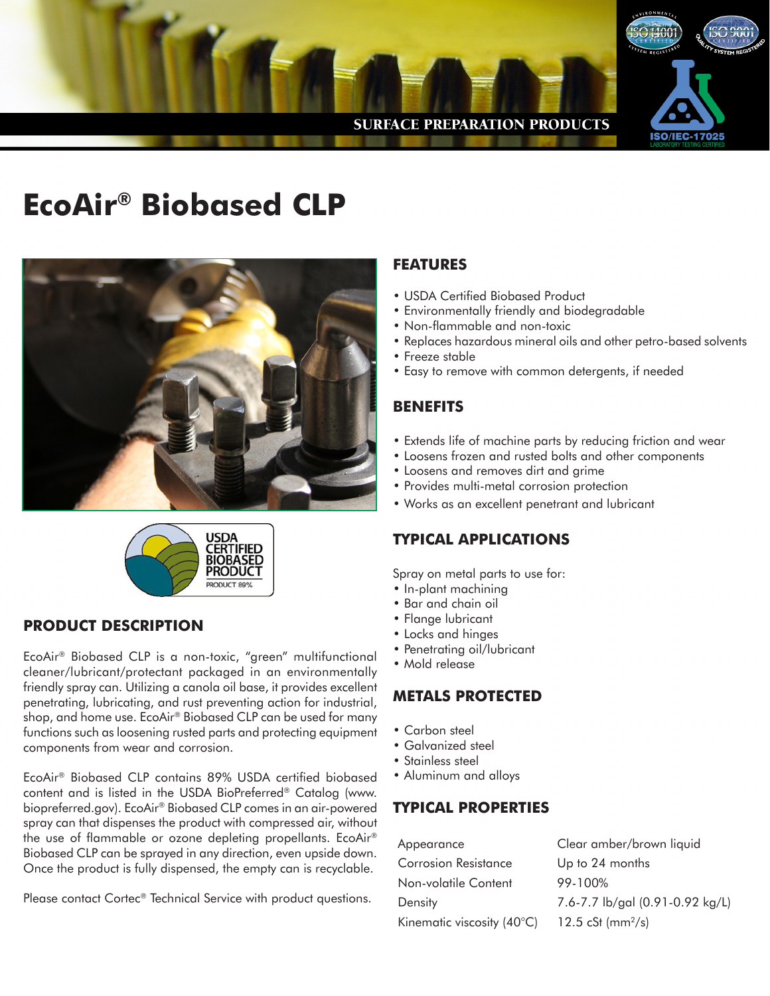

# **EcoAir® Biobased CLP**





#### **PRODUCT DESCRIPTION**

EcoAir® Biobased CLP is a non-toxic, "green" multifunctional cleaner/lubricant/protectant packaged in an environmentally friendly spray can. Utilizing a canola oil base, it provides excellent penetrating, lubricating, and rust preventing action for industrial, shop, and home use. EcoAir® Biobased CLP can be used for many functions such as loosening rusted parts and protecting equipment components from wear and corrosion.

EcoAir® Biobased CLP contains 89% USDA certified biobased content and is listed in the USDA BioPreferred® Catalog (www. biopreferred.gov). EcoAir® Biobased CLP comes in an air-powered spray can that dispenses the product with compressed air, without the use of flammable or ozone depleting propellants. EcoAir® Biobased CLP can be sprayed in any direction, even upside down. Once the product is fully dispensed, the empty can is recyclable.

Please contact Cortec® Technical Service with product questions.

### **FEATURES**

- USDA Certified Biobased Product
- Environmentally friendly and biodegradable
- Non-flammable and non-toxic
- Replaces hazardous mineral oils and other petro-based solvents
- Freeze stable
- Easy to remove with common detergents, if needed

## **BENEFITS**

- Extends life of machine parts by reducing friction and wear
- Loosens frozen and rusted bolts and other components
- Loosens and removes dirt and grime
- Provides multi-metal corrosion protection
- Works as an excellent penetrant and lubricant

### **TYPICAL APPLICATIONS**

Spray on metal parts to use for:

- In-plant machining
- Bar and chain oil
- Flange lubricant
- Locks and hinges
- Penetrating oil/lubricant
- Mold release

### **METALS PROTECTED**

- Carbon steel
- Galvanized steel
- Stainless steel
- Aluminum and alloys

### **TYPICAL PROPERTIES**

| Appearance                 | Clear amber/brown liquid        |  |
|----------------------------|---------------------------------|--|
| Corrosion Resistance       | Up to 24 months                 |  |
| Non-volatile Content       | 99-100%                         |  |
| Density                    | 7.6-7.7 lb/gal (0.91-0.92 kg/L) |  |
| Kinematic viscosity (40°C) | 12.5 cSt (mm <sup>2</sup> /s)   |  |